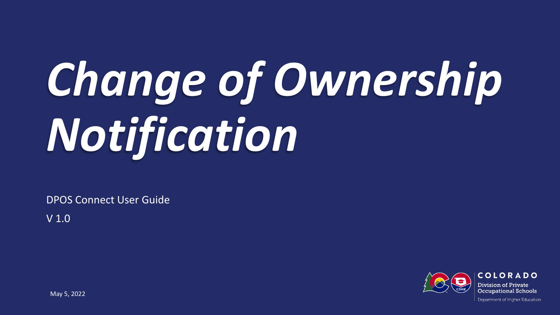# *Change of Ownership Notification*

DPOS Connect User Guide

V 1.0

COLORADO Division of Private **Occupational Schools** 

Department of Higher Education

May 5, 2022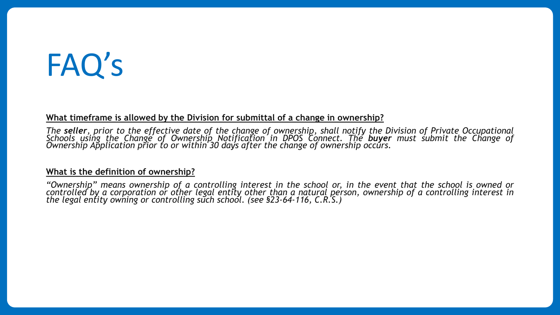# FAQ's

#### **What timeframe is allowed by the Division for submittal of a change in ownership?**

The seller, prior to the effective date of the change of ownership, shall notify the Division of Private Occupational<br>Schools using the Change of Ownership Notification in DPOS Connect. The **buyer** must submit the Change o

#### **What is the definition of ownership?**

"Ownership" means ownership of a controlling interest in the school or, in the event that the school is owned or controlled by a corporation or other legal entity other than a natural person, ownership of a controlling interest in *the legal entity owning or controlling such school. (see §23-64-116, C.R.S.)*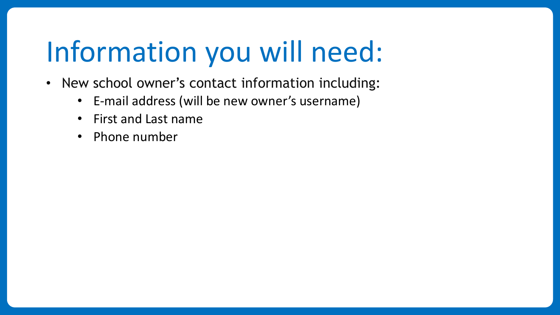# Information you will need:

- New school owner's contact information including:
	- E-mail address (will be new owner's username)
	- First and Last name
	- Phone number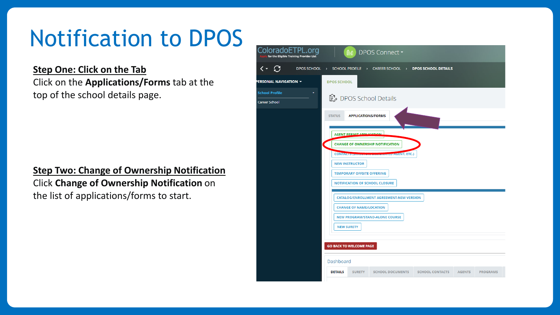## Notification to DPOS

#### **Step One: Click on the Tab**

Click on the **Applications/Forms** tab at the top of the school details page.

**Step Two: Change of Ownership Notification** Click **Change of Ownership Notification** on the list of applications/forms to start.

| ColoradoETPL.org<br>for the Eligible Training Provider List | <b>A</b> DPOS Connect ▼                                                                                                  |
|-------------------------------------------------------------|--------------------------------------------------------------------------------------------------------------------------|
| $\leftarrow$ $C$                                            | DPOS SCHOOL > SCHOOL PROFILE > CAREER SCHOOL > DPOS SCHOOL DETAILS                                                       |
| PERSONAL NAVIGATION ▼                                       | <b>DPOS SCHOOL</b>                                                                                                       |
| <b>School Profile</b><br><b>Career School</b>               | <b>■</b> DPOS School Details                                                                                             |
|                                                             | <b>STATUS</b><br><b>APPLICATIONS/FORMS</b>                                                                               |
|                                                             | <b>AGENT PERMIT APPLICATION</b>                                                                                          |
|                                                             | <b>CHANGE OF OWNERSHIP NOTIFICATION</b>                                                                                  |
|                                                             | <b>CONTACTS (D)</b><br><b>TED AGENT, ETC.)</b>                                                                           |
|                                                             | <b>NEW INSTRUCTOR</b>                                                                                                    |
|                                                             | <b>TEMPORARY OFFSITE OFFERING</b>                                                                                        |
|                                                             | <b>NOTIFICATION OF SCHOOL CLOSURE</b>                                                                                    |
|                                                             | <b>CATALOG/ENROLLMENT AGREEMENT-NEW VERSION</b>                                                                          |
|                                                             | <b>CHANGE OF NAME/LOCATION</b>                                                                                           |
|                                                             | <b>NEW PROGRAM/STAND-ALONE COURSE</b>                                                                                    |
|                                                             | <b>NEW SURETY</b>                                                                                                        |
|                                                             |                                                                                                                          |
|                                                             | <b>GO BACK TO WELCOME PAGE</b>                                                                                           |
|                                                             | Dashboard                                                                                                                |
|                                                             | <b>DETAILS</b><br><b>SURETY</b><br><b>SCHOOL DOCUMENTS</b><br><b>SCHOOL CONTACTS</b><br><b>AGENTS</b><br><b>PROGRAMS</b> |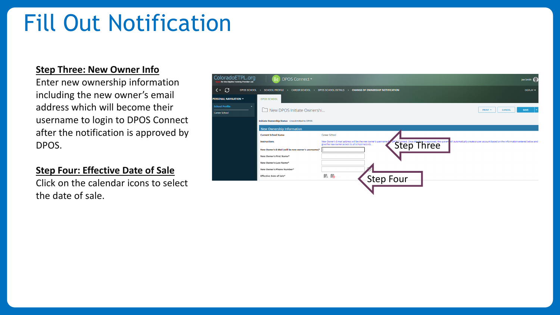### Fill Out Notification

#### **Step Three: New Owner Info**

Enter new ownership information including the new owner's email address which will become their username to login to DPOS Connect after the notification is approved by DPOS.

#### **Step Four: Effective Date of Sale**

Click on the calendar icons to select the date of sale.